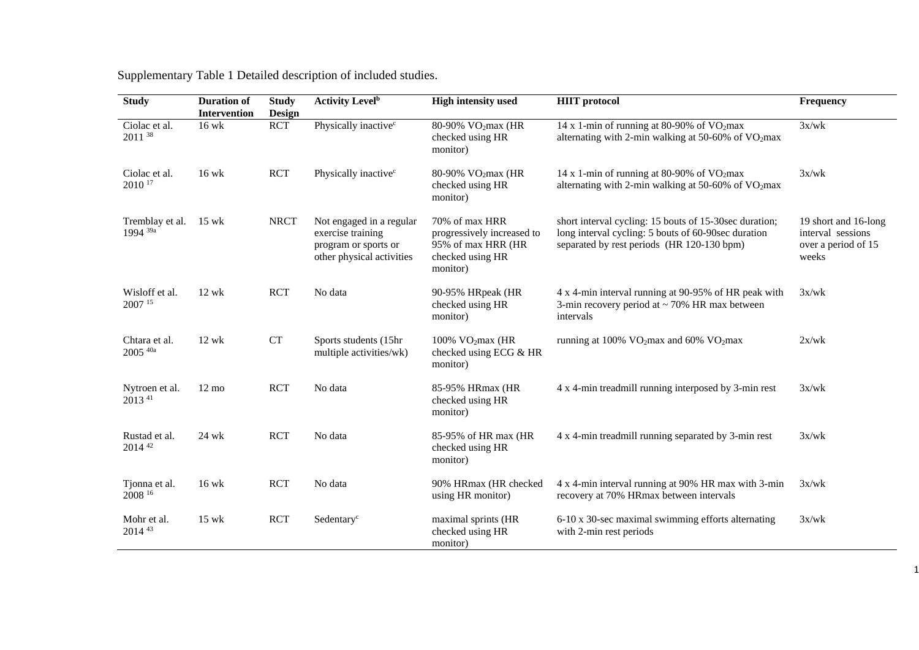| <b>Study</b>                           | <b>Duration of</b><br>Intervention | <b>Study</b><br><b>Design</b> | <b>Activity Level</b> <sup>b</sup>                                                                 | <b>High intensity used</b>                                                                         | <b>HIIT</b> protocol                                                                                                                                        | Frequency                                                                 |
|----------------------------------------|------------------------------------|-------------------------------|----------------------------------------------------------------------------------------------------|----------------------------------------------------------------------------------------------------|-------------------------------------------------------------------------------------------------------------------------------------------------------------|---------------------------------------------------------------------------|
| Ciolac et al.<br>2011 38               | 16 wk                              | <b>RCT</b>                    | Physically inactive <sup>c</sup>                                                                   | 80-90% VO <sub>2</sub> max (HR<br>checked using HR<br>monitor)                                     | 14 x 1-min of running at 80-90% of $VO2max$<br>alternating with 2-min walking at 50-60% of VO2max                                                           | 3x/wk                                                                     |
| Ciolac et al.<br>2010 <sup>17</sup>    | $16$ wk                            | <b>RCT</b>                    | Physically inactive <sup>c</sup>                                                                   | 80-90% VO <sub>2</sub> max (HR<br>checked using HR<br>monitor)                                     | 14 x 1-min of running at 80-90% of $VO2max$<br>alternating with 2-min walking at 50-60% of VO2max                                                           | 3x/wk                                                                     |
| Tremblay et al.<br>1994 <sup>39a</sup> | $15$ wk                            | <b>NRCT</b>                   | Not engaged in a regular<br>exercise training<br>program or sports or<br>other physical activities | 70% of max HRR<br>progressively increased to<br>95% of max HRR (HR<br>checked using HR<br>monitor) | short interval cycling: 15 bouts of 15-30sec duration;<br>long interval cycling: 5 bouts of 60-90sec duration<br>separated by rest periods (HR 120-130 bpm) | 19 short and 16-long<br>interval sessions<br>over a period of 15<br>weeks |
| Wisloff et al.<br>2007 15              | $12$ wk                            | <b>RCT</b>                    | No data                                                                                            | 90-95% HRpeak (HR<br>checked using HR<br>monitor)                                                  | 4 x 4-min interval running at 90-95% of HR peak with<br>3-min recovery period at $\sim$ 70% HR max between<br>intervals                                     | 3x/wk                                                                     |
| Chtara et al.<br>$2005$ $40a$          | $12$ wk                            | CT                            | Sports students (15hr<br>multiple activities/wk)                                                   | 100% $VO2max$ (HR<br>checked using ECG & HR<br>monitor)                                            | running at 100% VO <sub>2</sub> max and 60% VO <sub>2</sub> max                                                                                             | 2x/wk                                                                     |
| Nytroen et al.<br>2013 <sup>41</sup>   | $12 \text{ mo}$                    | <b>RCT</b>                    | No data                                                                                            | 85-95% HRmax (HR<br>checked using HR<br>monitor)                                                   | 4 x 4-min treadmill running interposed by 3-min rest                                                                                                        | 3x/wk                                                                     |
| Rustad et al.<br>2014 42               | 24 wk                              | <b>RCT</b>                    | No data                                                                                            | 85-95% of HR max (HR<br>checked using HR<br>monitor)                                               | 4 x 4-min treadmill running separated by 3-min rest                                                                                                         | 3x/wk                                                                     |
| Tjonna et al.<br>2008 16               | $16$ wk                            | <b>RCT</b>                    | No data                                                                                            | 90% HRmax (HR checked<br>using HR monitor)                                                         | 4 x 4-min interval running at 90% HR max with 3-min<br>recovery at 70% HRmax between intervals                                                              | 3x/wk                                                                     |
| Mohr et al.<br>2014 43                 | $15$ wk                            | <b>RCT</b>                    | Sedentary <sup>c</sup>                                                                             | maximal sprints (HR<br>checked using HR<br>monitor)                                                | 6-10 x 30-sec maximal swimming efforts alternating<br>with 2-min rest periods                                                                               | 3x/wk                                                                     |

Supplementary Table 1 Detailed description of included studies.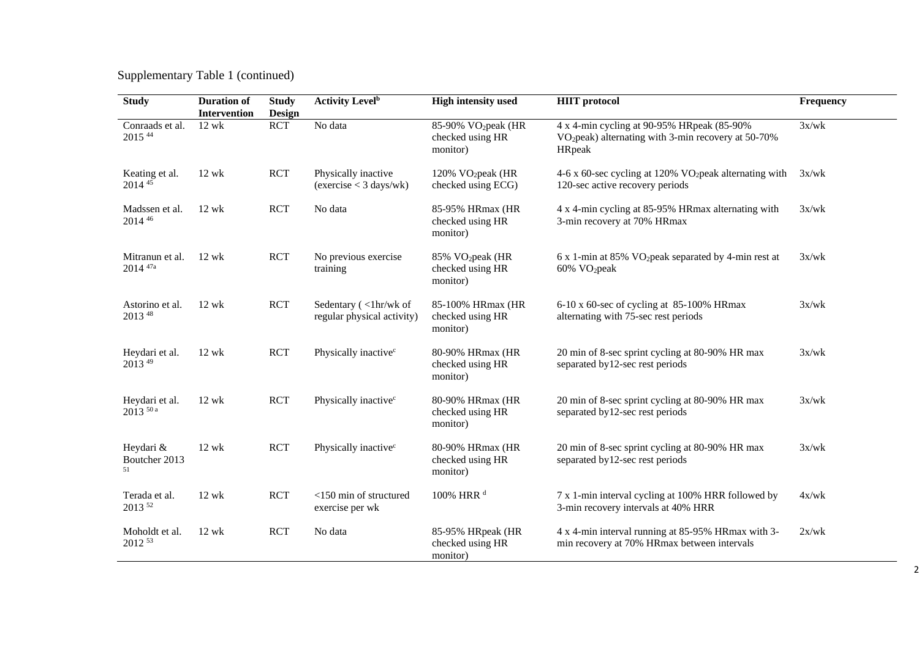Supplementary Table 1 (continued)

| <b>Study</b>                     | <b>Duration of</b><br><b>Intervention</b> | <b>Study</b><br>Design | <b>Activity Level</b> <sup>b</sup>                  | <b>High intensity used</b>                                      | <b>HIIT</b> protocol                                                                                                     | Frequency |
|----------------------------------|-------------------------------------------|------------------------|-----------------------------------------------------|-----------------------------------------------------------------|--------------------------------------------------------------------------------------------------------------------------|-----------|
| Conraads et al.<br>2015 44       | $12$ wk                                   | <b>RCT</b>             | No data                                             | 85-90% VO <sub>2</sub> peak (HR<br>checked using HR<br>monitor) | 4 x 4-min cycling at 90-95% HRpeak (85-90%)<br>VO <sub>2</sub> peak) alternating with 3-min recovery at 50-70%<br>HRpeak | 3x/wk     |
| Keating et al.<br>2014 45        | $12$ wk                                   | <b>RCT</b>             | Physically inactive<br>(exercise < 3 days/wk)       | 120% $VO_2$ peak (HR<br>checked using ECG)                      | 4-6 x 60-sec cycling at 120% $VO2peak alternating with$<br>120-sec active recovery periods                               | 3x/wk     |
| Madssen et al.<br>2014 46        | $12$ wk                                   | <b>RCT</b>             | No data                                             | 85-95% HRmax (HR<br>checked using HR<br>monitor)                | 4 x 4-min cycling at 85-95% HRmax alternating with<br>3-min recovery at 70% HRmax                                        | 3x/wk     |
| Mitranun et al.<br>$2014^{47a}$  | $12$ wk                                   | <b>RCT</b>             | No previous exercise<br>training                    | 85% VO <sub>2</sub> peak (HR<br>checked using HR<br>monitor)    | $6x$ 1-min at 85% VO <sub>2</sub> peak separated by 4-min rest at<br>60% VO <sub>2</sub> peak                            | 3x/wk     |
| Astorino et al.<br>2013 48       | $12$ wk                                   | <b>RCT</b>             | Sedentary (<1hr/wk of<br>regular physical activity) | 85-100% HRmax (HR<br>checked using HR<br>monitor)               | 6-10 x 60-sec of cycling at 85-100% HRmax<br>alternating with 75-sec rest periods                                        | 3x/wk     |
| Heydari et al.<br>2013 49        | $12$ wk                                   | <b>RCT</b>             | Physically inactive <sup>c</sup>                    | 80-90% HRmax (HR<br>checked using HR<br>monitor)                | 20 min of 8-sec sprint cycling at 80-90% HR max<br>separated by 12-sec rest periods                                      | 3x/wk     |
| Heydari et al.<br>$2013^{50}$ a  | $12$ wk                                   | <b>RCT</b>             | Physically inactive <sup>c</sup>                    | 80-90% HRmax (HR<br>checked using HR<br>monitor)                | 20 min of 8-sec sprint cycling at 80-90% HR max<br>separated by 12-sec rest periods                                      | 3x/wk     |
| Heydari &<br>Boutcher 2013<br>51 | $12$ wk                                   | <b>RCT</b>             | Physically inactive <sup>c</sup>                    | 80-90% HRmax (HR<br>checked using HR<br>monitor)                | 20 min of 8-sec sprint cycling at 80-90% HR max<br>separated by 12-sec rest periods                                      | 3x/wk     |
| Terada et al.<br>2013 52         | $12$ wk                                   | <b>RCT</b>             | <150 min of structured<br>exercise per wk           | 100% HRR <sup>d</sup>                                           | 7 x 1-min interval cycling at 100% HRR followed by<br>3-min recovery intervals at 40% HRR                                | 4x/wk     |
| Moholdt et al.<br>2012 53        | $12$ wk                                   | <b>RCT</b>             | No data                                             | 85-95% HRpeak (HR<br>checked using HR<br>monitor)               | 4 x 4-min interval running at 85-95% HRmax with 3-<br>min recovery at 70% HRmax between intervals                        | 2x/wk     |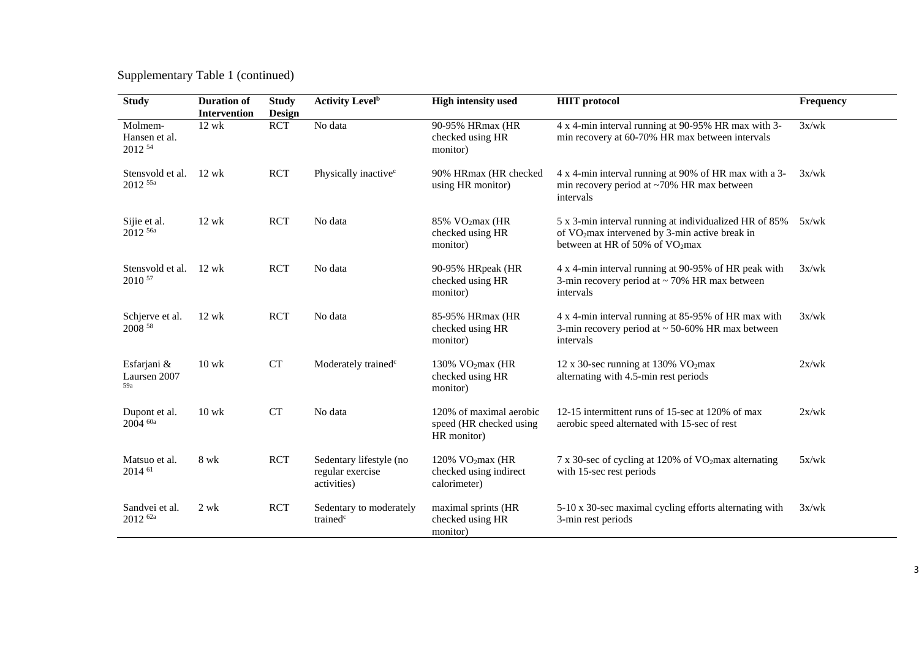Supplementary Table 1 (continued)

| <b>Study</b>                           | <b>Duration of</b><br><b>Intervention</b> | <b>Study</b><br><b>Design</b> | <b>Activity Level</b> <sup>b</sup>                         | <b>High intensity used</b>                                        | <b>HIIT</b> protocol                                                                                                                                     | Frequency |
|----------------------------------------|-------------------------------------------|-------------------------------|------------------------------------------------------------|-------------------------------------------------------------------|----------------------------------------------------------------------------------------------------------------------------------------------------------|-----------|
| Molmem-<br>Hansen et al.<br>2012 54    | $12$ wk                                   | <b>RCT</b>                    | No data                                                    | 90-95% HRmax (HR<br>checked using HR<br>monitor)                  | 4 x 4-min interval running at 90-95% HR max with 3-<br>min recovery at 60-70% HR max between intervals                                                   | 3x/wk     |
| Stensvold et al.<br>$2012$ 55a         | $12 \text{ wk}$                           | <b>RCT</b>                    | Physically inactive <sup>c</sup>                           | 90% HRmax (HR checked<br>using HR monitor)                        | 4 x 4-min interval running at 90% of HR max with a 3-<br>min recovery period at ~70% HR max between<br>intervals                                         | 3x/wk     |
| Sijie et al.<br>2012 <sup>56a</sup>    | $12 \text{ wk}$                           | <b>RCT</b>                    | No data                                                    | 85% VO <sub>2</sub> max (HR<br>checked using HR<br>monitor)       | 5 x 3-min interval running at individualized HR of 85%<br>of VO <sub>2</sub> max intervened by 3-min active break in<br>between at HR of 50% of $VO2max$ | 5x/wk     |
| Stensvold et al.<br>2010 57            | $12$ wk                                   | <b>RCT</b>                    | No data                                                    | 90-95% HRpeak (HR<br>checked using HR<br>monitor)                 | 4 x 4-min interval running at 90-95% of HR peak with<br>3-min recovery period at $\sim$ 70% HR max between<br>intervals                                  | 3x/wk     |
| Schjerve et al.<br>2008 58             | $12 \text{ wk}$                           | <b>RCT</b>                    | No data                                                    | 85-95% HRmax (HR<br>checked using HR<br>monitor)                  | 4 x 4-min interval running at 85-95% of HR max with<br>3-min recovery period at $\sim$ 50-60% HR max between<br>intervals                                | 3x/wk     |
| Esfarjani &<br>Laursen 2007<br>59a     | $10$ wk                                   | <b>CT</b>                     | Moderately trained <sup>c</sup>                            | 130% $VO2max$ (HR<br>checked using HR<br>monitor)                 | 12 x 30-sec running at 130% $VO2max$<br>alternating with 4.5-min rest periods                                                                            | 2x/wk     |
| Dupont et al.<br>$2004$ <sup>60a</sup> | $10$ wk                                   | <b>CT</b>                     | No data                                                    | 120% of maximal aerobic<br>speed (HR checked using<br>HR monitor) | 12-15 intermittent runs of 15-sec at 120% of max<br>aerobic speed alternated with 15-sec of rest                                                         | 2x/wk     |
| Matsuo et al.<br>2014 61               | 8 wk                                      | <b>RCT</b>                    | Sedentary lifestyle (no<br>regular exercise<br>activities) | 120% $VO2max$ (HR<br>checked using indirect<br>calorimeter)       | 7 x 30-sec of cycling at 120% of $VO2max$ alternating<br>with 15-sec rest periods                                                                        | 5x/wk     |
| Sandvei et al.<br>2012 <sup>62a</sup>  | $2$ wk                                    | <b>RCT</b>                    | Sedentary to moderately<br>trained <sup>c</sup>            | maximal sprints (HR<br>checked using HR<br>monitor)               | 5-10 x 30-sec maximal cycling efforts alternating with<br>3-min rest periods                                                                             | 3x/wk     |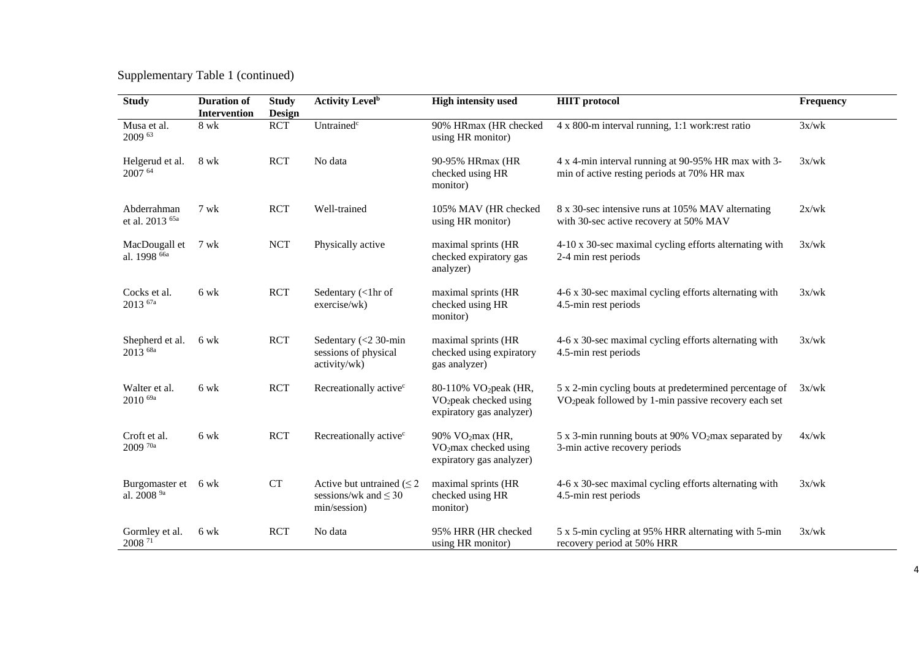## Supplementary Table 1 (continued)

| <b>Study</b>                                | <b>Duration of</b><br>Intervention | <b>Study</b><br>Design | <b>Activity Level</b> <sup>b</sup>                                           | <b>High intensity used</b>                                                                          | <b>HIIT</b> protocol                                                                                                       | Frequency |
|---------------------------------------------|------------------------------------|------------------------|------------------------------------------------------------------------------|-----------------------------------------------------------------------------------------------------|----------------------------------------------------------------------------------------------------------------------------|-----------|
| Musa et al.<br>2009 63                      | 8 wk                               | <b>RCT</b>             | Untrained <sup>c</sup>                                                       | 90% HRmax (HR checked<br>using HR monitor)                                                          | 4 x 800-m interval running, 1:1 work: rest ratio                                                                           | 3x/wk     |
| Helgerud et al.<br>2007 64                  | 8 wk                               | <b>RCT</b>             | No data                                                                      | 90-95% HRmax (HR<br>checked using HR<br>monitor)                                                    | 4 x 4-min interval running at 90-95% HR max with 3-<br>min of active resting periods at 70% HR max                         | 3x/wk     |
| Abderrahman<br>et al. 2013 <sup>65a</sup>   | 7 wk                               | <b>RCT</b>             | Well-trained                                                                 | 105% MAV (HR checked<br>using HR monitor)                                                           | 8 x 30-sec intensive runs at 105% MAV alternating<br>with 30-sec active recovery at 50% MAV                                | 2x/wk     |
| MacDougall et<br>al. 1998 <sup>66a</sup>    | 7 wk                               | <b>NCT</b>             | Physically active                                                            | maximal sprints (HR<br>checked expiratory gas<br>analyzer)                                          | 4-10 x 30-sec maximal cycling efforts alternating with<br>2-4 min rest periods                                             | 3x/wk     |
| Cocks et al.<br>$2013$ $^{67a}$             | 6 wk                               | <b>RCT</b>             | Sedentary (<1hr of<br>exercise/wk)                                           | maximal sprints (HR<br>checked using HR<br>monitor)                                                 | 4-6 x 30-sec maximal cycling efforts alternating with<br>4.5-min rest periods                                              | 3x/wk     |
| Shepherd et al.<br>2013 <sup>68a</sup>      | 6 wk                               | <b>RCT</b>             | Sedentary $(< 2 30$ -min<br>sessions of physical<br>activity/wk)             | maximal sprints (HR<br>checked using expiratory<br>gas analyzer)                                    | 4-6 x 30-sec maximal cycling efforts alternating with<br>4.5-min rest periods                                              | 3x/wk     |
| Walter et al.<br>2010 <sup>69a</sup>        | 6 wk                               | <b>RCT</b>             | Recreationally active <sup>c</sup>                                           | 80-110% VO <sub>2</sub> peak (HR,<br>VO <sub>2</sub> peak checked using<br>expiratory gas analyzer) | 5 x 2-min cycling bouts at predetermined percentage of<br>VO <sub>2</sub> peak followed by 1-min passive recovery each set | 3x/wk     |
| Croft et al.<br>$2009$ <sup>70a</sup>       | 6 wk                               | <b>RCT</b>             | Recreationally active <sup>c</sup>                                           | 90% VO <sub>2</sub> max (HR,<br>VO <sub>2</sub> max checked using<br>expiratory gas analyzer)       | 5 x 3-min running bouts at 90% VO2max separated by<br>3-min active recovery periods                                        | 4x/wk     |
| Burgomaster et<br>al. 2008 $^{9\mathrm{a}}$ | 6 wk                               | <b>CT</b>              | Active but untrained $(\leq 2)$<br>sessions/wk and $\leq 30$<br>min/session) | maximal sprints (HR<br>checked using HR<br>monitor)                                                 | 4-6 x 30-sec maximal cycling efforts alternating with<br>4.5-min rest periods                                              | 3x/wk     |
| Gormley et al.<br>$2008$ $^{\rm 71}$        | 6 wk                               | <b>RCT</b>             | No data                                                                      | 95% HRR (HR checked<br>using HR monitor)                                                            | 5 x 5-min cycling at 95% HRR alternating with 5-min<br>recovery period at 50% HRR                                          | 3x/wk     |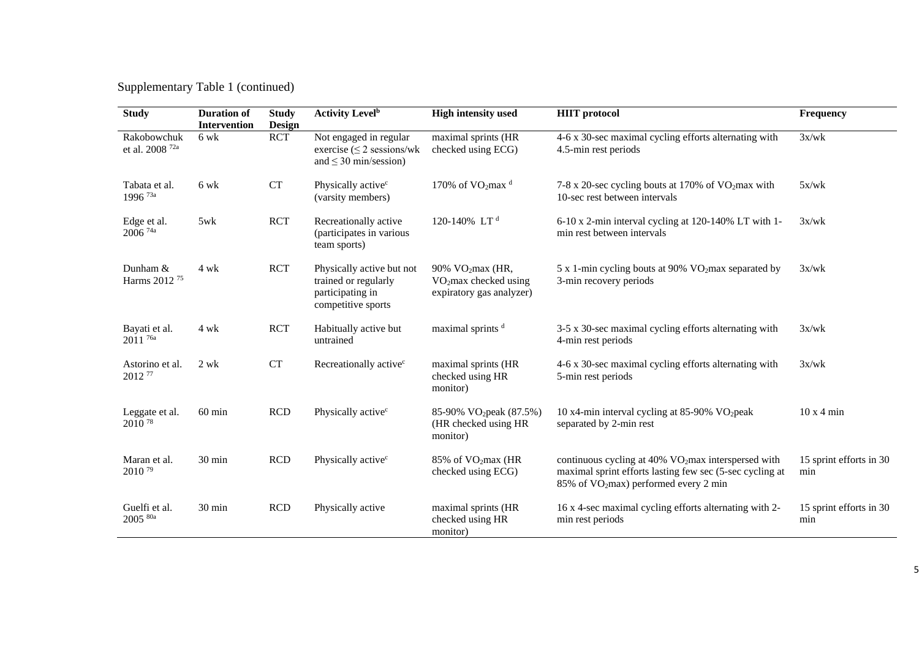## Supplementary Table 1 (continued)

| <b>Study</b>                                 | <b>Duration of</b><br>Intervention | <b>Study</b><br><b>Design</b> | <b>Activity Level</b> <sup>b</sup>                                                          | <b>High intensity used</b>                                                                    | <b>HIIT</b> protocol                                                                                                                                                             | Frequency                      |
|----------------------------------------------|------------------------------------|-------------------------------|---------------------------------------------------------------------------------------------|-----------------------------------------------------------------------------------------------|----------------------------------------------------------------------------------------------------------------------------------------------------------------------------------|--------------------------------|
| Rakobowchuk<br>et al. 2008 $^{72\mathrm{a}}$ | 6 wk                               | <b>RCT</b>                    | Not engaged in regular<br>exercise $(\leq 2$ sessions/wk<br>and $\leq$ 30 min/session)      | maximal sprints (HR<br>checked using ECG)                                                     | 4-6 x 30-sec maximal cycling efforts alternating with<br>4.5-min rest periods                                                                                                    | 3x/wk                          |
| Tabata et al.<br>1996 <sup>73a</sup>         | $6 \text{ wk}$                     | <b>CT</b>                     | Physically active <sup>c</sup><br>(varsity members)                                         | 170% of $VO_2$ max <sup>d</sup>                                                               | 7-8 x 20-sec cycling bouts at 170% of VO2max with<br>10-sec rest between intervals                                                                                               | 5x/wk                          |
| Edge et al.<br>$2006$ <sup>74a</sup>         | 5wk                                | <b>RCT</b>                    | Recreationally active<br>(participates in various<br>team sports)                           | 120-140% LT <sup>d</sup>                                                                      | 6-10 x 2-min interval cycling at 120-140% LT with 1-<br>min rest between intervals                                                                                               | 3x/wk                          |
| Dunham &<br>Harms 2012 <sup>75</sup>         | 4 wk                               | <b>RCT</b>                    | Physically active but not<br>trained or regularly<br>participating in<br>competitive sports | 90% VO <sub>2</sub> max (HR,<br>VO <sub>2</sub> max checked using<br>expiratory gas analyzer) | 5 x 1-min cycling bouts at 90% VO2max separated by<br>3-min recovery periods                                                                                                     | 3x/wk                          |
| Bayati et al.<br>2011 <sup>76a</sup>         | 4 wk                               | <b>RCT</b>                    | Habitually active but<br>untrained                                                          | maximal sprints <sup>d</sup>                                                                  | 3-5 x 30-sec maximal cycling efforts alternating with<br>4-min rest periods                                                                                                      | 3x/wk                          |
| Astorino et al.<br>2012 77                   | 2 wk                               | <b>CT</b>                     | Recreationally active <sup>c</sup>                                                          | maximal sprints (HR<br>checked using HR<br>monitor)                                           | 4-6 x 30-sec maximal cycling efforts alternating with<br>5-min rest periods                                                                                                      | 3x/wk                          |
| Leggate et al.<br>2010 78                    | $60$ min                           | <b>RCD</b>                    | Physically active <sup>c</sup>                                                              | 85-90% VO <sub>2</sub> peak (87.5%)<br>(HR checked using HR<br>monitor)                       | 10 x4-min interval cycling at 85-90% VO <sub>2</sub> peak<br>separated by 2-min rest                                                                                             | $10x4$ min                     |
| Maran et al.<br>2010 <sup>79</sup>           | 30 min                             | RCD                           | Physically active <sup>c</sup>                                                              | 85% of VO <sub>2</sub> max (HR<br>checked using ECG)                                          | continuous cycling at 40% VO <sub>2</sub> max interspersed with<br>maximal sprint efforts lasting few sec (5-sec cycling at<br>85% of VO <sub>2</sub> max) performed every 2 min | 15 sprint efforts in 30<br>min |
| Guelfi et al.<br>2005 80a                    | 30 min                             | <b>RCD</b>                    | Physically active                                                                           | maximal sprints (HR<br>checked using HR<br>monitor)                                           | 16 x 4-sec maximal cycling efforts alternating with 2-<br>min rest periods                                                                                                       | 15 sprint efforts in 30<br>min |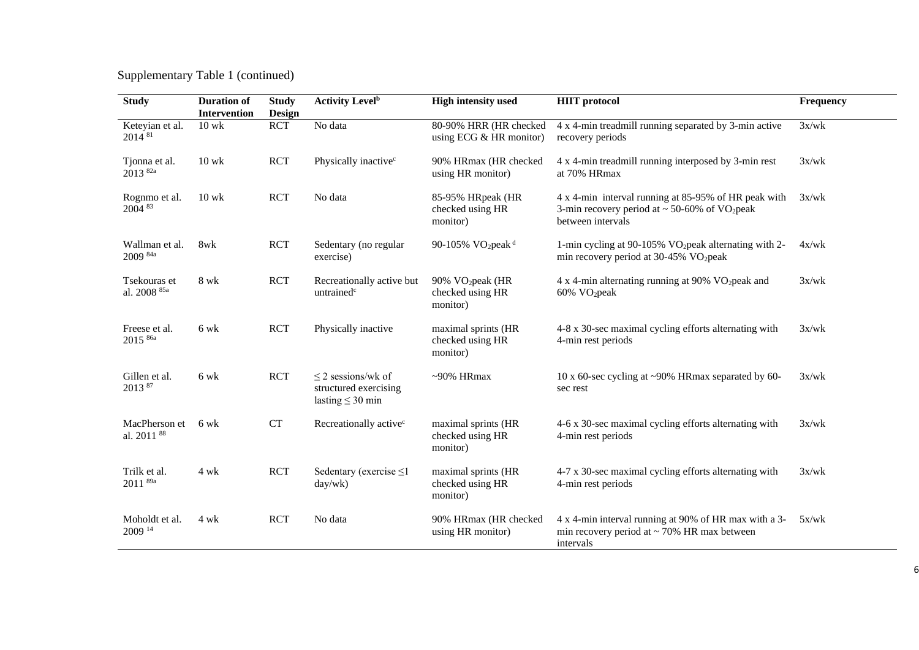Supplementary Table 1 (continued)

| <b>Study</b>                            | <b>Duration of</b><br>Intervention | <b>Study</b><br>Design | <b>Activity Level</b> <sup>b</sup>                                        | <b>High intensity used</b>                                   | <b>HIIT</b> protocol                                                                                                                        | Frequency |
|-----------------------------------------|------------------------------------|------------------------|---------------------------------------------------------------------------|--------------------------------------------------------------|---------------------------------------------------------------------------------------------------------------------------------------------|-----------|
| Keteyian et al.<br>2014 81              | $10$ wk                            | <b>RCT</b>             | No data                                                                   | 80-90% HRR (HR checked<br>using ECG $&$ HR monitor)          | 4 x 4-min treadmill running separated by 3-min active<br>recovery periods                                                                   | 3x/wk     |
| Tjonna et al.<br>2013 <sup>82a</sup>    | $10$ wk                            | <b>RCT</b>             | Physically inactive <sup>c</sup>                                          | 90% HRmax (HR checked<br>using HR monitor)                   | 4 x 4-min treadmill running interposed by 3-min rest<br>at 70% HRmax                                                                        | 3x/wk     |
| Rognmo et al.<br>2004 83                | $10$ wk                            | <b>RCT</b>             | No data                                                                   | 85-95% HRpeak (HR<br>checked using HR<br>monitor)            | 4 x 4-min interval running at 85-95% of HR peak with<br>3-min recovery period at $\sim$ 50-60% of VO <sub>2</sub> peak<br>between intervals | 3x/wk     |
| Wallman et al.<br>2009 <sup>84a</sup>   | 8wk                                | <b>RCT</b>             | Sedentary (no regular<br>exercise)                                        | 90-105% VO <sub>2</sub> peak <sup>d</sup>                    | 1-min cycling at 90-105% VO <sub>2</sub> peak alternating with 2-<br>min recovery period at $30-45\%$ VO <sub>2</sub> peak                  | 4x/wk     |
| Tsekouras et<br>al. 2008 85a            | 8 wk                               | <b>RCT</b>             | Recreationally active but<br>untrained <sup>c</sup>                       | 90% VO <sub>2</sub> peak (HR<br>checked using HR<br>monitor) | $4 \times 4$ -min alternating running at 90% VO <sub>2</sub> peak and<br>60% VO <sub>2</sub> peak                                           | 3x/wk     |
| Freese et al.<br>2015 86a               | 6 wk                               | <b>RCT</b>             | Physically inactive                                                       | maximal sprints (HR<br>checked using HR<br>monitor)          | 4-8 x 30-sec maximal cycling efforts alternating with<br>4-min rest periods                                                                 | 3x/wk     |
| Gillen et al.<br>2013 87                | 6 wk                               | <b>RCT</b>             | $\leq$ 2 sessions/wk of<br>structured exercising<br>lasting $\leq$ 30 min | $~10\%$ HRmax                                                | 10 x 60-sec cycling at ~90% HRmax separated by 60-<br>sec rest                                                                              | 3x/wk     |
| MacPherson et<br>al. 2011 <sup>88</sup> | 6 wk                               | <b>CT</b>              | Recreationally active <sup>c</sup>                                        | maximal sprints (HR<br>checked using HR<br>monitor)          | 4-6 x 30-sec maximal cycling efforts alternating with<br>4-min rest periods                                                                 | 3x/wk     |
| Trilk et al.<br>$2011^{89a}$            | 4 wk                               | <b>RCT</b>             | Sedentary (exercise $\leq$ 1<br>day/wk)                                   | maximal sprints (HR<br>checked using HR<br>monitor)          | 4-7 x 30-sec maximal cycling efforts alternating with<br>4-min rest periods                                                                 | 3x/wk     |
| Moholdt et al.<br>$2009^{14}$           | 4 wk                               | <b>RCT</b>             | No data                                                                   | 90% HRmax (HR checked<br>using HR monitor)                   | 4 x 4-min interval running at 90% of HR max with a 3-<br>min recovery period at $\sim$ 70% HR max between<br>intervals                      | 5x/wk     |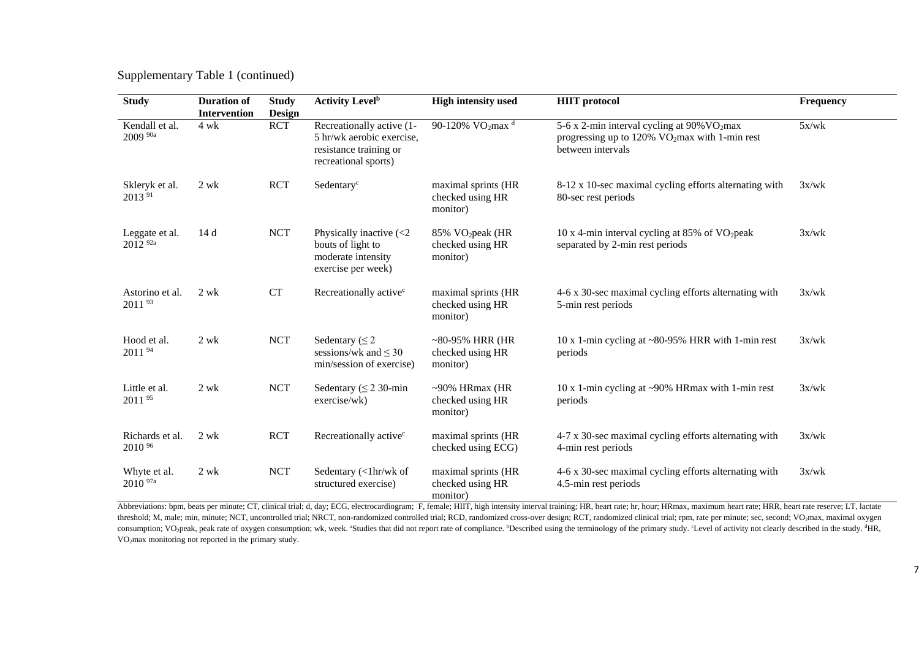Supplementary Table 1 (continued)

| <b>Study</b>                          | <b>Duration of</b><br><b>Intervention</b> | <b>Study</b><br><b>Design</b> | <b>Activity Level</b> <sup>b</sup>                                                                                                  | <b>High intensity used</b>                                   | <b>HIIT</b> protocol                                                                                                                          | Frequency |
|---------------------------------------|-------------------------------------------|-------------------------------|-------------------------------------------------------------------------------------------------------------------------------------|--------------------------------------------------------------|-----------------------------------------------------------------------------------------------------------------------------------------------|-----------|
| Kendall et al.<br>2009 90a            | $4$ wk                                    | <b>RCT</b>                    | Recreationally active (1-<br>5 hr/wk aerobic exercise,<br>resistance training or<br>recreational sports)                            | 90-120% VO <sub>2</sub> max <sup>d</sup>                     | 5-6 x 2-min interval cycling at 90% VO <sub>2</sub> max<br>progressing up to $120\%$ VO <sub>2</sub> max with 1-min rest<br>between intervals | 5x/wk     |
| Skleryk et al.<br>2013 91             | $2$ wk                                    | <b>RCT</b>                    | Sedentary <sup>c</sup>                                                                                                              | maximal sprints (HR<br>checked using HR<br>monitor)          | 8-12 x 10-sec maximal cycling efforts alternating with<br>80-sec rest periods                                                                 | 3x/wk     |
| Leggate et al.<br>2012 <sup>92a</sup> | 14d                                       | <b>NCT</b>                    | Physically inactive $\left\langle \langle 2 \rangle \right\rangle$<br>bouts of light to<br>moderate intensity<br>exercise per week) | 85% VO <sub>2</sub> peak (HR<br>checked using HR<br>monitor) | 10 x 4-min interval cycling at 85% of $VO2peak$<br>separated by 2-min rest periods                                                            | 3x/wk     |
| Astorino et al.<br>2011 93            | 2 wk                                      | <b>CT</b>                     | Recreationally active <sup>c</sup>                                                                                                  | maximal sprints (HR<br>checked using HR<br>monitor)          | 4-6 x 30-sec maximal cycling efforts alternating with<br>5-min rest periods                                                                   | 3x/wk     |
| Hood et al.<br>2011 94                | $2 \text{ wk}$                            | <b>NCT</b>                    | Sedentary ( $\leq$ 2<br>sessions/wk and $\leq 30$<br>min/session of exercise)                                                       | $~80-95\%$ HRR (HR<br>checked using HR<br>monitor)           | 10 x 1-min cycling at $\sim$ 80-95% HRR with 1-min rest<br>periods                                                                            | 3x/wk     |
| Little et al.<br>2011 95              | 2 wk                                      | <b>NCT</b>                    | Sedentary ( $\leq$ 2 30-min<br>exercise/wk)                                                                                         | $~100\%$ HRmax (HR<br>checked using HR<br>monitor)           | 10 x 1-min cycling at ~90% HRmax with 1-min rest<br>periods                                                                                   | 3x/wk     |
| Richards et al.<br>2010 %             | $2 \text{ wk}$                            | <b>RCT</b>                    | Recreationally active <sup>c</sup>                                                                                                  | maximal sprints (HR<br>checked using ECG)                    | 4-7 x 30-sec maximal cycling efforts alternating with<br>4-min rest periods                                                                   | 3x/wk     |
| Whyte et al.<br>$2010^{97a}$          | 2 wk                                      | <b>NCT</b>                    | Sedentary (<1hr/wk of<br>structured exercise)                                                                                       | maximal sprints (HR<br>checked using HR<br>monitor)          | 4-6 x 30-sec maximal cycling efforts alternating with<br>4.5-min rest periods                                                                 | 3x/wk     |

Abbreviations: bpm, beats per minute; CT, clinical trial; d, day; ECG, electrocardiogram; F, female; HIIT, high intensity interval training; HR, heart rate; hr, hour; HRmax, maximum heart rate; HRR, heart rate reserve; LT, threshold; M, male; min, minute; NCT, uncontrolled trial; NRCT, non-randomized controlled trial; RCD, randomized cross-over design; RCT, randomized clinical trial; rpm, rate per minute; sec, second; VO2max, maximal oxygen consumption; VO<sub>2</sub>peak, peak rate of oxygen consumption; wk, week. "Studies that did not report rate of compliance. "Described using the terminology of the primary study. "Level of activity not clearly described in the stu VO2max monitoring not reported in the primary study.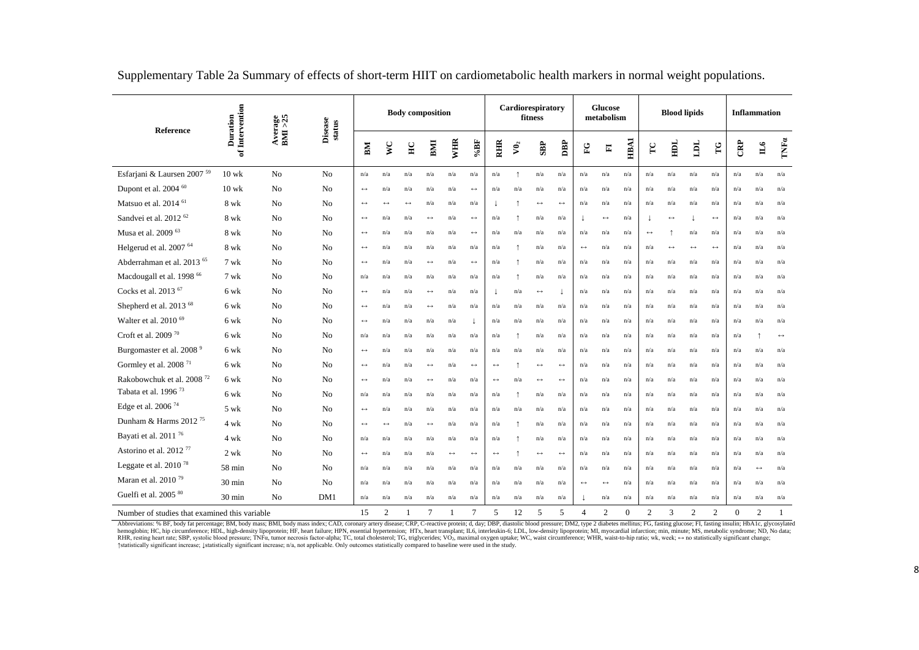| Reference                                     | of Intervention<br>Duration | Average<br>BMI >25 | Disease<br>status | <b>Body</b> composition |                   |                       |                       |                       | Cardiorespiratory<br>fitness |                       |                |                          |                       | <b>Glucose</b><br>metabolism |                         |          | <b>Blood lipids</b> |                       |                   | <b>Inflammation</b>   |          |                   |                       |
|-----------------------------------------------|-----------------------------|--------------------|-------------------|-------------------------|-------------------|-----------------------|-----------------------|-----------------------|------------------------------|-----------------------|----------------|--------------------------|-----------------------|------------------------------|-------------------------|----------|---------------------|-----------------------|-------------------|-----------------------|----------|-------------------|-----------------------|
|                                               |                             |                    |                   | BМ                      | <b>DA</b>         | $_{\rm HC}$           | BMI                   | WHR                   | $96B$                        | <b>RHIR</b>           | $\mathbf{v_0}$ | SBP                      | DBP                   | $_{\rm FC}$                  | $\overline{\mathbf{F}}$ | HBAI     | $\Gamma$ C          | HDL                   | Turi              | TG                    | CRP      | $\mathbb{L}$      | TNFa                  |
| Esfarjani & Laursen 2007 <sup>59</sup>        | $10$ wk                     | No                 | N <sub>o</sub>    | n/a                     | n/a               | n/a                   | n/a                   | n/a                   | n/a                          | n/a                   | $\uparrow$     | n/a                      | n/a                   | n/a                          | n/a                     | n/a      | n/a                 | n/a                   | n/a               | n/a                   | n/a      | n/a               | n/a                   |
| Dupont et al. 2004 60                         | $10 \text{ wk}$             | No                 | No                | $\leftrightarrow$       | n/a               | n/a                   | n/a                   | n/a                   | $\leftrightarrow$            | n/a                   | n/a            | n/a                      | n/a                   | n/a                          | n/a                     | n/a      | n/a                 | n/a                   | n/a               | n/a                   | n/a      | n/a               | n/a                   |
| Matsuo et al. 2014 <sup>61</sup>              | 8 wk                        | No                 | N <sub>o</sub>    | $\leftrightarrow$       | $\leftrightarrow$ | $\longleftrightarrow$ | n/a                   | n/a                   | n/a                          |                       |                | $\longleftrightarrow$    | $\leftrightarrow$     | n/a                          | n/a                     | n/a      | n/a                 | n/a                   | n/a               | n/a                   | n/a      | n/a               | n/a                   |
| Sandvei et al. 2012 <sup>62</sup>             | 8 wk                        | N <sub>0</sub>     | N <sub>o</sub>    | $\leftrightarrow$       | n/a               | n/a                   | $\leftrightarrow$     | n/a                   | $\leftrightarrow$            | n/a                   |                | n/a                      | n/a                   |                              | $\leftrightarrow$       | n/a      |                     | $\longleftrightarrow$ |                   | $\leftrightarrow$     | n/a      | n/a               | n/a                   |
| Musa et al. 2009 63                           | 8 wk                        | N <sub>0</sub>     | N <sub>o</sub>    | $\leftrightarrow$       | n/a               | n/a                   | n/a                   | n/a                   | $\longleftrightarrow$        | n/a                   | n/a            | n/a                      | n/a                   | n/a                          | n/a                     | n/a      | $\leftrightarrow$   |                       | n/a               | n/a                   | n/a      | n/a               | n/a                   |
| Helgerud et al. 2007 <sup>64</sup>            | 8 wk                        | No                 | N <sub>o</sub>    | $\leftrightarrow$       | n/a               | n/a                   | n/a                   | n/a                   | n/a                          | n/a                   |                | n/a                      | n/a                   | $\leftrightarrow$            | n/a                     | n/a      | n/a                 | $\longleftrightarrow$ | $\leftrightarrow$ | $\longleftrightarrow$ | n/a      | n/a               | n/a                   |
| Abderrahman et al. 2013 <sup>65</sup>         | 7 wk                        | N <sub>0</sub>     | N <sub>o</sub>    | $\leftrightarrow$       | n/a               | n/a                   | $\leftrightarrow$     | n/a                   | $\leftrightarrow$            | n/a                   | $\uparrow$     | n/a                      | n/a                   | n/a                          | n/a                     | n/a      | n/a                 | n/a                   | n/a               | n/a                   | n/a      | n/a               | n/a                   |
| Macdougall et al. 1998 66                     | 7 wk                        | No                 | N <sub>o</sub>    | n/a                     | n/a               | n/a                   | n/a                   | n/a                   | n/a                          | n/a                   | $\uparrow$     | n/a                      | n/a                   | n/a                          | n/a                     | n/a      | n/a                 | n/a                   | n/a               | n/a                   | n/a      | n/a               | n/a                   |
| Cocks et al. 2013 <sup>67</sup>               | 6 wk                        | No                 | N <sub>o</sub>    | $\leftrightarrow$       | n/a               | n/a                   | $\longleftrightarrow$ | n/a                   | n/a                          |                       | n/a            | $\longleftrightarrow$    |                       | n/a                          | n/a                     | n/a      | n/a                 | n/a                   | n/a               | n/a                   | n/a      | n/a               | n/a                   |
| Shepherd et al. 2013 <sup>68</sup>            | 6 wk                        | N <sub>0</sub>     | N <sub>0</sub>    | $\leftrightarrow$       | n/a               | n/a                   | $\longleftrightarrow$ | n/a                   | n/a                          | n/a                   | n/a            | n/a                      | n/a                   | n/a                          | n/a                     | n/a      | n/a                 | n/a                   | n/a               | n/a                   | n/a      | n/a               | n/a                   |
| Walter et al. 2010 <sup>69</sup>              | 6 wk                        | No                 | N <sub>o</sub>    | $\leftrightarrow$       | n/a               | n/a                   | n/a                   | n/a                   |                              | n/a                   | n/a            | n/a                      | n/a                   | n/a                          | n/a                     | n/a      | n/a                 | n/a                   | n/a               | n/a                   | n/a      | n/a               | n/a                   |
| Croft et al. 2009 <sup>70</sup>               | 6 wk                        | N <sub>o</sub>     | N <sub>0</sub>    | n/a                     | n/a               | n/a                   | n/a                   | n/a                   | n/a                          | n/a                   | $\uparrow$     | n/a                      | n/a                   | n/a                          | n/a                     | n/a      | n/a                 | n/a                   | n/a               | n/a                   | n/a      | $\uparrow$        | $\longleftrightarrow$ |
| Burgomaster et al. 2008 <sup>9</sup>          | 6 wk                        | N <sub>0</sub>     | N <sub>0</sub>    | $\leftrightarrow$       | n/a               | n/a                   | n/a                   | n/a                   | n/a                          | n/a                   | n/a            | n/a                      | n/a                   | n/a                          | n/a                     | n/a      | n/a                 | n/a                   | n/a               | n/a                   | n/a      | n/a               | n/a                   |
| Gormley et al. 2008 <sup>71</sup>             | 6 wk                        | N <sub>o</sub>     | N <sub>o</sub>    | $\leftrightarrow$       | n/a               | n/a                   | $\leftrightarrow$     | n/a                   | $\leftrightarrow$            | $\longleftrightarrow$ |                | $\leftrightarrow$        | $\longleftrightarrow$ | n/a                          | n/a                     | n/a      | n/a                 | n/a                   | n/a               | n/a                   | n/a      | n/a               | n/a                   |
| Rakobowchuk et al. 2008 <sup>72</sup>         | 6 wk                        | N <sub>o</sub>     | N <sub>o</sub>    | $\longleftrightarrow$   | n/a               | n/a                   | $\leftrightarrow$     | n/a                   | n/a                          | $\leftrightarrow$     | n/a            | $\leftrightarrow$        | $\longleftrightarrow$ | n/a                          | n/a                     | n/a      | n/a                 | n/a                   | n/a               | n/a                   | n/a      | n/a               | n/a                   |
| Tabata et al. 1996 <sup>73</sup>              | 6 wk                        | N <sub>0</sub>     | No                | n/a                     | n/a               | n/a                   | n/a                   | n/a                   | n/a                          | n/a                   |                | n/a                      | n/a                   | n/a                          | n/a                     | n/a      | n/a                 | n/a                   | n/a               | n/a                   | n/a      | n/a               | n/a                   |
| Edge et al. 2006 <sup>74</sup>                | 5 wk                        | No                 | N <sub>o</sub>    | $\leftrightarrow$       | n/a               | n/a                   | n/a                   | n/a                   | n/a                          | n/a                   | n/a            | n/a                      | n/a                   | n/a                          | n/a                     | n/a      | n/a                 | n/a                   | n/a               | n/a                   | n/a      | n/a               | n/a                   |
| Dunham & Harms 2012 <sup>75</sup>             | 4 wk                        | No                 | N <sub>o</sub>    | $\leftrightarrow$       | $\leftrightarrow$ | n/a                   | $\leftrightarrow$     | n/a                   | n/a                          | n/a                   | $\uparrow$     | n/a                      | n/a                   | n/a                          | n/a                     | n/a      | n/a                 | n/a                   | n/a               | n/a                   | n/a      | n/a               | n/a                   |
| Bayati et al. 2011 <sup>76</sup>              | 4 wk                        | No                 | N <sub>0</sub>    | n/a                     | n/a               | n/a                   | n/a                   | n/a                   | n/a                          | n/a                   |                | n/a                      | n/a                   | n/a                          | n/a                     | n/a      | n/a                 | n/a                   | n/a               | n/a                   | n/a      | n/a               | n/a                   |
| Astorino et al. 2012 <sup>77</sup>            | 2 wk                        | No                 | No                | $\leftrightarrow$       | n/a               | n/a                   | n/a                   | $\longleftrightarrow$ | $\leftrightarrow$            | $\leftrightarrow$     | $\uparrow$     | $\longleftrightarrow$    | $\longleftrightarrow$ | n/a                          | n/a                     | n/a      | n/a                 | n/a                   | n/a               | n/a                   | n/a      | n/a               | n/a                   |
| Leggate et al. 2010 <sup>78</sup>             | 58 min                      | N <sub>o</sub>     | N <sub>o</sub>    | n/a                     | n/a               | n/a                   | n/a                   | n/a                   | n/a                          | n/a                   | n/a            | n/a                      | n/a                   | n/a                          | n/a                     | n/a      | n/a                 | n/a                   | n/a               | n/a                   | n/a      | $\leftrightarrow$ | n/a                   |
| Maran et al. 2010 <sup>79</sup>               | $30 \text{ min}$            | N <sub>0</sub>     | N <sub>0</sub>    | n/a                     | n/a               | n/a                   | n/a                   | n/a                   | n/a                          | n/a                   | n/a            | n/a                      | n/a                   | $\leftrightarrow$            | $\leftrightarrow$       | n/a      | n/a                 | n/a                   | n/a               | n/a                   | n/a      | n/a               | n/a                   |
| Guelfi et al. 2005 <sup>80</sup>              | 30 min                      | No                 | DM1               | n/a                     | n/a               | n/a                   | n/a                   | n/a                   | n/a                          | n/a                   | n/a            | n/a                      | n/a                   |                              | n/a                     | n/a      | n/a                 | n/a                   | n/a               | n/a                   | n/a      | n/a               | n/a                   |
| Number of studies that examined this variable |                             |                    |                   | 15                      | $\overline{c}$    |                       | $\tau$                | 1                     | $\overline{7}$               | 5                     | 12             | $\overline{\phantom{0}}$ | $\overline{5}$        | $\Delta$                     | $\overline{2}$          | $\Omega$ | $\overline{2}$      | $\mathbf{3}$          | $\mathfrak{D}$    | $\overline{2}$        | $\Omega$ | $\mathfrak{D}$    |                       |

Supplementary Table 2a Summary of effects of short-term HIIT on cardiometabolic health markers in normal weight populations.

Abbreviations: % BF, body fat percentage; BM, body mass; BMI, body mass index; CAD, coronary artery disease; CRP, C-reactive protein; d, day; DBP, diastolic blood pressure; DM2, type 2 diabetes mellitus; FG, fasting glucos hemoglobin; HC, hip circumference; HDL, high-density lipoprotein; HF, heart failure; HPN, essential hypertension; HTx, heart transplant; IL6, interleukin-6; LDL, low-density lipoprotein; MI, myocardial infarction; min, mi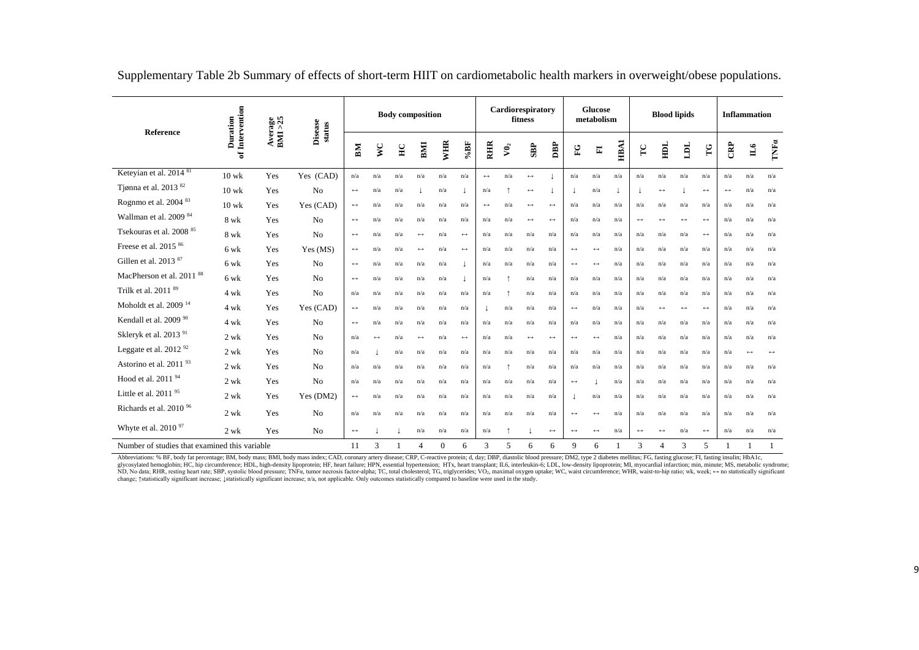| Reference                                     |                             | Average<br>BMI >25 | <b>Disease</b><br>status | <b>Body composition</b> |                   |                |                         |              |                   | Cardiorespiratory<br>fitness |               |                   |                       |                       | <b>Glucose</b><br>metabolism |                         |                   | <b>Blood lipids</b>   |                   | <b>Inflammation</b> |                   |                   |                                        |
|-----------------------------------------------|-----------------------------|--------------------|--------------------------|-------------------------|-------------------|----------------|-------------------------|--------------|-------------------|------------------------------|---------------|-------------------|-----------------------|-----------------------|------------------------------|-------------------------|-------------------|-----------------------|-------------------|---------------------|-------------------|-------------------|----------------------------------------|
|                                               | of Intervention<br>Duration |                    |                          | BM                      | V <sub>C</sub>    | H <sub>C</sub> | BM                      | WHR          | $\%{\bf B}F$      | <b>RHIR</b>                  | $V\mathbf{0}$ | <b>SBP</b>        | DBP                   | EG                    | E                            | <b>HBA1</b>             | $\Gamma$ C        | E                     | LOL               | TG                  | CRP               | Ц                 | $\mathbf{T}\mathbf{N}\mathbf{F}\alpha$ |
| Keteyian et al. 2014 <sup>81</sup>            | $10$ wk                     | Yes                | Yes (CAD)                | n/a                     | n/a               | n/a            | n/a                     | n/a          | n/a               | $\leftrightarrow$            | n/a           | $\leftrightarrow$ |                       | n/a                   | n/a                          | n/a                     | n/a               | n/a                   | n/a               | n/a                 | n/a               | n/a               | n/a                                    |
| Tjønna et al. 2013 82                         | $10$ wk                     | Yes                | No                       | $\leftrightarrow$       | n/a               | n/a            |                         | n/a          |                   | n/a                          |               | $\leftrightarrow$ |                       |                       | n/a                          |                         |                   | $\longleftrightarrow$ |                   | $\leftrightarrow$   | $\leftrightarrow$ | n/a               | n/a                                    |
| Rognmo et al. 2004 83                         | $10$ wk                     | Yes                | Yes (CAD)                | $\longleftrightarrow$   | n/a               | n/a            | n/a                     | n/a          | n/a               | $\leftrightarrow$            | n/a           | $\leftrightarrow$ | $\leftrightarrow$     | n/a                   | n/a                          | n/a                     | n/a               | n/a                   | n/a               | n/a                 | n/a               | n/a               | n/a                                    |
| Wallman et al. 2009 <sup>84</sup>             | 8 wk                        | Yes                | No                       | $\leftrightarrow$       | n/a               | n/a            | $\mathrm{n}/\mathrm{a}$ | n/a          | n/a               | n/a                          | n/a           | $\leftrightarrow$ | $\leftrightarrow$     | n/a                   | n/a                          | n/a                     | $\leftrightarrow$ | $\longleftrightarrow$ | $\leftrightarrow$ | $\leftrightarrow$   | n/a               | n/a               | n/a                                    |
| Tsekouras et al. 2008 <sup>85</sup>           | 8 wk                        | Yes                | N <sub>o</sub>           | $\leftrightarrow$       | n/a               | n/a            | $\leftrightarrow$       | n/a          | $\leftrightarrow$ | n/a                          | n/a           | n/a               | n/a                   | n/a                   | n/a                          | $\mathrm{n}/\mathrm{a}$ | n/a               | n/a                   | n/a               | $\leftrightarrow$   | n/a               | n/a               | n/a                                    |
| Freese et al. 2015 <sup>86</sup>              | 6 wk                        | Yes                | Yes (MS)                 | $\longleftrightarrow$   | n/a               | n/a            | $\leftrightarrow$       | n/a          | $\leftrightarrow$ | n/a                          | n/a           | n/a               | n/a                   | $\longleftrightarrow$ | $\longleftrightarrow$        | n/a                     | n/a               | n/a                   | n/a               | n/a                 | n/a               | n/a               | n/a                                    |
| Gillen et al. 2013 <sup>87</sup>              | 6 wk                        | Yes                | No                       | $\longleftrightarrow$   | n/a               | n/a            | n/a                     | n/a          |                   | n/a                          | n/a           | n/a               | n/a                   | $\leftrightarrow$     | $\leftrightarrow$            | n/a                     | n/a               | n/a                   | n/a               | n/a                 | n/a               | n/a               | n/a                                    |
| MacPherson et al. 2011 <sup>88</sup>          | 6 wk                        | Yes                | N <sub>0</sub>           | $\longleftrightarrow$   | n/a               | n/a            | n/a                     | n/a          |                   | n/a                          |               | n/a               | n/a                   | n/a                   | n/a                          | n/a                     | n/a               | n/a                   | n/a               | n/a                 | n/a               | n/a               | n/a                                    |
| Trilk et al. 2011 <sup>89</sup>               | 4 wk                        | Yes                | N <sub>o</sub>           | n/a                     | n/a               | n/a            | n/a                     | n/a          | n/a               | n/a                          |               | n/a               | n/a                   | n/a                   | n/a                          | n/a                     | n/a               | n/a                   | n/a               | n/a                 | n/a               | n/a               | n/a                                    |
| Moholdt et al. $200914$                       | 4 wk                        | Yes                | Yes (CAD)                | $\leftrightarrow$       | n/a               | n/a            | n/a                     | n/a          | n/a               |                              | n/a           | n/a               | n/a                   | $\leftrightarrow$     | n/a                          | n/a                     | n/a               | $\leftrightarrow$     | $\leftrightarrow$ | $\leftrightarrow$   | n/a               | n/a               | n/a                                    |
| Kendall et al. 2009 90                        | 4 wk                        | Yes                | No                       | $\leftrightarrow$       | n/a               | n/a            | n/a                     | n/a          | n/a               | n/a                          | n/a           | n/a               | n/a                   | n/a                   | n/a                          | n/a                     | n/a               | n/a                   | n/a               | n/a                 | n/a               | n/a               | n/a                                    |
| Skleryk et al. 2013 <sup>91</sup>             | $2 \text{ wk}$              | Yes                | N <sub>0</sub>           | n/a                     | $\leftrightarrow$ | n/a            | $\leftrightarrow$       | n/a          | $\leftrightarrow$ | n/a                          | n/a           | $\leftrightarrow$ | $\leftrightarrow$     | $\leftrightarrow$     | $\leftrightarrow$            | n/a                     | n/a               | n/a                   | n/a               | n/a                 | n/a               | n/a               | n/a                                    |
| Leggate et al. 2012 <sup>92</sup>             | 2 wk                        | Yes                | No                       | n/a                     |                   | n/a            | n/a                     | n/a          | n/a               | n/a                          | n/a           | n/a               | n/a                   | n/a                   | n/a                          | n/a                     | n/a               | n/a                   | n/a               | n/a                 | n/a               | $\leftrightarrow$ | $\leftrightarrow$                      |
| Astorino et al. 2011 <sup>93</sup>            | 2 wk                        | Yes                | N <sub>o</sub>           | n/a                     | n/a               | n/a            | n/a                     | n/a          | n/a               | n/a                          |               | n/a               | n/a                   | n/a                   | n/a                          | n/a                     | n/a               | n/a                   | n/a               | n/a                 | n/a               | n/a               | n/a                                    |
| Hood et al. 2011 <sup>94</sup>                | 2 wk                        | Yes                | No                       | n/a                     | n/a               | n/a            | n/a                     | n/a          | n/a               | n/a                          | n/a           | n/a               | n/a                   | $\longleftrightarrow$ |                              | n/a                     | n/a               | n/a                   | n/a               | n/a                 | n/a               | n/a               | n/a                                    |
| Little et al. 2011 <sup>95</sup>              | 2 wk                        | Yes                | Yes (DM2)                | $\longleftrightarrow$   | n/a               | n/a            | n/a                     | n/a          | n/a               | n/a                          | n/a           | n/a               | n/a                   |                       | n/a                          | n/a                     | n/a               | n/a                   | n/a               | n/a                 | n/a               | n/a               | n/a                                    |
| Richards et al. 2010 <sup>96</sup>            | $2$ wk                      | Yes                | No                       | n/a                     | n/a               | n/a            | $\mathrm{n}/\mathrm{a}$ | n/a          | n/a               | n/a                          | n/a           | n/a               | n/a                   | $\leftrightarrow$     | $\leftrightarrow$            | $\mathrm{n}/\mathrm{a}$ | n/a               | n/a                   | n/a               | n/a                 | n/a               | n/a               | n/a                                    |
| Whyte et al. 2010 <sup>97</sup>               | 2 wk                        | Yes                | N <sub>o</sub>           | $\longleftrightarrow$   |                   |                | n/a                     | n/a          | n/a               | n/a                          | $\uparrow$    |                   | $\longleftrightarrow$ | $\leftrightarrow$     | $\leftrightarrow$            | n/a                     | $\leftrightarrow$ | $\longleftrightarrow$ | n/a               | $\leftrightarrow$   | n/a               | n/a               | n/a                                    |
| Number of studies that examined this variable |                             |                    |                          | 11                      | 3                 |                | $\overline{4}$          | $\mathbf{0}$ | 6                 | 3                            | 5             | 6                 | 6                     | 9                     | 6                            |                         | 3                 | $\overline{4}$        | 3                 | 5                   |                   |                   |                                        |

Supplementary Table 2b Summary of effects of short-term HIIT on cardiometabolic health markers in overweight/obese populations.

Abbreviations: % BF, body fat percentage; BM, body mass; BMI, body mass index; CAD, coronary artery disease; CRP, C-reactive protein; d, day; DBP, diastolic blood pressure; DM2, type 2 diabetes mellitus; FG, fasting glucos glycosylated hemoglobin; HC, hip circumference; HDL, high-density lipoprotein; HF, heart failure; HPN, essential hypertension; HTx, heart transplant; IL6, interleukin-6; LDL, low-density lipoprotein; MI, myocardial infarc change; †statistically significant increase; ↓statistically significant increase; n/a, not applicable. Only outcomes statistically compared to baseline were used in the study.